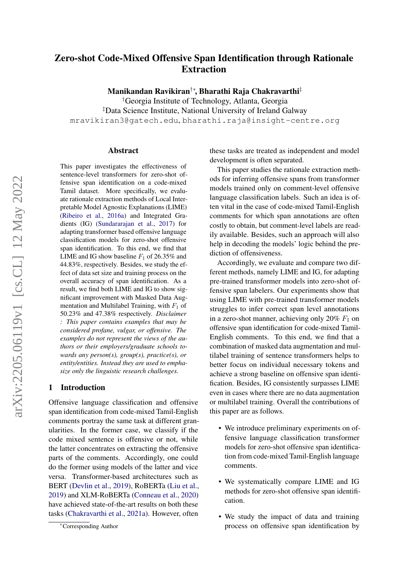# Zero-shot Code-Mixed Offensive Span Identification through Rationale Extraction

Manikandan Ravikiran†∗ , Bharathi Raja Chakravarthi‡

†Georgia Institute of Technology, Atlanta, Georgia ‡Data Science Institute, National University of Ireland Galway mravikiran3@gatech.edu, bharathi.raja@insight-centre.org

#### Abstract

This paper investigates the effectiveness of sentence-level transformers for zero-shot offensive span identification on a code-mixed Tamil dataset. More specifically, we evaluate rationale extraction methods of Local Interpretable Model Agnostic Explanations (LIME) [\(Ribeiro et al.,](#page-7-0) [2016a\)](#page-7-0) and Integrated Gradients (IG) [\(Sundararajan et al.,](#page-7-1) [2017\)](#page-7-1) for adapting transformer based offensive language classification models for zero-shot offensive span identification. To this end, we find that LIME and IG show baseline  $F_1$  of 26.35% and 44.83%, respectively. Besides, we study the effect of data set size and training process on the overall accuracy of span identification. As a result, we find both LIME and IG to show significant improvement with Masked Data Augmentation and Multilabel Training, with  $F_1$  of 50.23% and 47.38% respectively. *Disclaimer : This paper contains examples that may be considered profane, vulgar, or offensive. The examples do not represent the views of the authors or their employers/graduate schools towards any person(s), group(s), practice(s), or entity/entities. Instead they are used to emphasize only the linguistic research challenges.*

### 1 Introduction

Offensive language classification and offensive span identification from code-mixed Tamil-English comments portray the same task at different granularities. In the former case, we classify if the code mixed sentence is offensive or not, while the latter concentrates on extracting the offensive parts of the comments. Accordingly, one could do the former using models of the latter and vice versa. Transformer-based architectures such as BERT [\(Devlin et al.,](#page-6-0) [2019\)](#page-6-0), RoBERTa [\(Liu et al.,](#page-6-1) [2019\)](#page-6-1) and XLM-RoBERTa [\(Conneau et al.,](#page-6-2) [2020\)](#page-6-2) have achieved state-of-the-art results on both these tasks [\(Chakravarthi et al.,](#page-6-3) [2021a\)](#page-6-3). However, often these tasks are treated as independent and model development is often separated.

This paper studies the rationale extraction methods for inferring offensive spans from transformer models trained only on comment-level offensive language classification labels. Such an idea is often vital in the case of code-mixed Tamil-English comments for which span annotations are often costly to obtain, but comment-level labels are readily available. Besides, such an approach will also help in decoding the models' logic behind the prediction of offensiveness.

Accordingly, we evaluate and compare two different methods, namely LIME and IG, for adapting pre-trained transformer models into zero-shot offensive span labelers. Our experiments show that using LIME with pre-trained transformer models struggles to infer correct span level annotations in a zero-shot manner, achieving only 20%  $F_1$  on offensive span identification for code-mixed Tamil-English comments. To this end, we find that a combination of masked data augmentation and multilabel training of sentence transformers helps to better focus on individual necessary tokens and achieve a strong baseline on offensive span identification. Besides, IG consistently surpasses LIME even in cases where there are no data augmentation or multilabel training. Overall the contributions of this paper are as follows.

- We introduce preliminary experiments on offensive language classification transformer models for zero-shot offensive span identification from code-mixed Tamil-English language comments.
- We systematically compare LIME and IG methods for zero-shot offensive span identification.
- We study the impact of data and training process on offensive span identification by

<sup>∗</sup>Corresponding Author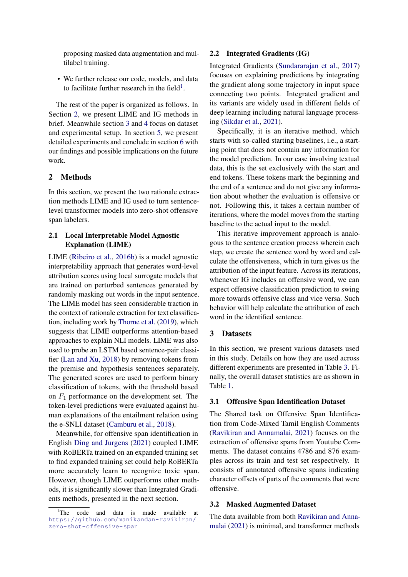proposing masked data augmentation and multilabel training.

• We further release our code, models, and data to facilitate further research in the field<sup>[1](#page-1-0)</sup>.

The rest of the paper is organized as follows. In Section [2,](#page-1-1) we present LIME and IG methods in brief. Meanwhile section [3](#page-1-2) and [4](#page-3-0) focus on dataset and experimental setup. In section [5,](#page-3-1) we present detailed experiments and conclude in section [6](#page-5-0) with our findings and possible implications on the future work.

# <span id="page-1-1"></span>2 Methods

In this section, we present the two rationale extraction methods LIME and IG used to turn sentencelevel transformer models into zero-shot offensive span labelers.

# 2.1 Local Interpretable Model Agnostic Explanation (LIME)

LIME [\(Ribeiro et al.,](#page-7-2) [2016b\)](#page-7-2) is a model agnostic interpretability approach that generates word-level attribution scores using local surrogate models that are trained on perturbed sentences generated by randomly masking out words in the input sentence. The LIME model has seen considerable traction in the context of rationale extraction for text classification, including work by [Thorne et al.](#page-7-3) [\(2019\)](#page-7-3), which suggests that LIME outperforms attention-based approaches to explain NLI models. LIME was also used to probe an LSTM based sentence-pair classifier [\(Lan and Xu,](#page-6-4) [2018\)](#page-6-4) by removing tokens from the premise and hypothesis sentences separately. The generated scores are used to perform binary classification of tokens, with the threshold based on  $F_1$  performance on the development set. The token-level predictions were evaluated against human explanations of the entailment relation using the e-SNLI dataset [\(Camburu et al.,](#page-6-5) [2018\)](#page-6-5).

Meanwhile, for offensive span identification in English [Ding and Jurgens](#page-6-6) [\(2021\)](#page-6-6) coupled LIME with RoBERTa trained on an expanded training set to find expanded training set could help RoBERTa more accurately learn to recognize toxic span. However, though LIME outperforms other methods, it is significantly slower than Integrated Gradients methods, presented in the next section.

#### 2.2 Integrated Gradients (IG)

Integrated Gradients [\(Sundararajan et al.,](#page-7-1) [2017\)](#page-7-1) focuses on explaining predictions by integrating the gradient along some trajectory in input space connecting two points. Integrated gradient and its variants are widely used in different fields of deep learning including natural language processing [\(Sikdar et al.,](#page-7-4) [2021\)](#page-7-4).

Specifically, it is an iterative method, which starts with so-called starting baselines, i.e., a starting point that does not contain any information for the model prediction. In our case involving textual data, this is the set exclusively with the start and end tokens. These tokens mark the beginning and the end of a sentence and do not give any information about whether the evaluation is offensive or not. Following this, it takes a certain number of iterations, where the model moves from the starting baseline to the actual input to the model.

This iterative improvement approach is analogous to the sentence creation process wherein each step, we create the sentence word by word and calculate the offensiveness, which in turn gives us the attribution of the input feature. Across its iterations, whenever IG includes an offensive word, we can expect offensive classification prediction to swing more towards offensive class and vice versa. Such behavior will help calculate the attribution of each word in the identified sentence.

## <span id="page-1-2"></span>3 Datasets

In this section, we present various datasets used in this study. Details on how they are used across different experiments are presented in Table [3.](#page-3-2) Finally, the overall dataset statistics are as shown in Table [1.](#page-2-0)

### 3.1 Offensive Span Identification Dataset

The Shared task on Offensive Span Identification from Code-Mixed Tamil English Comments [\(Ravikiran and Annamalai,](#page-6-7) [2021\)](#page-6-7) focuses on the extraction of offensive spans from Youtube Comments. The dataset contains 4786 and 876 examples across its train and test set respectively. It consists of annotated offensive spans indicating character offsets of parts of the comments that were offensive.

# 3.2 Masked Augmented Dataset

The data available from both [Ravikiran and Anna](#page-6-7)[malai](#page-6-7) [\(2021\)](#page-6-7) is minimal, and transformer methods

<span id="page-1-0"></span><sup>&</sup>lt;sup>1</sup>The code and data is made available at [https://github.com/manikandan-ravikiran/](https://github.com/manikandan-ravikiran/zero-shot-offensive-span) [zero-shot-offensive-span](https://github.com/manikandan-ravikiran/zero-shot-offensive-span)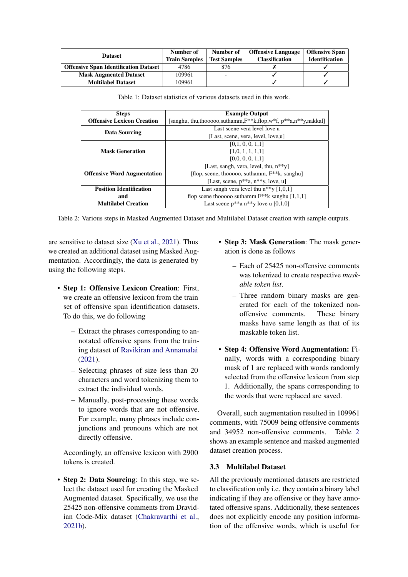<span id="page-2-0"></span>

| <b>Dataset</b>                               | Number of<br><b>Train Samples</b> | <b>Offensive Language</b><br>Number of<br><b>Test Samples</b><br><b>Classification</b> |  | <b>Offensive Span</b><br><b>Identification</b> |  |
|----------------------------------------------|-----------------------------------|----------------------------------------------------------------------------------------|--|------------------------------------------------|--|
| <b>Offensive Span Identification Dataset</b> | 4786                              | 876                                                                                    |  |                                                |  |
| <b>Mask Augmented Dataset</b>                | 109961                            | -                                                                                      |  |                                                |  |
| <b>Multilabel Dataset</b>                    | 109961                            |                                                                                        |  |                                                |  |

Table 1: Dataset statistics of various datasets used in this work.

<span id="page-2-1"></span>

| <b>Steps</b>                       | <b>Example Output</b>                                                |  |  |
|------------------------------------|----------------------------------------------------------------------|--|--|
| <b>Offensive Lexicon Creation</b>  | [sanghu, thu,thooooo,suthamm, $F^{**}k$ ,flop,w*f, p**a,n**y,nakkal] |  |  |
| Data Sourcing                      | Last scene vera level love u                                         |  |  |
|                                    | [Last, scene, vera, level, love,u]                                   |  |  |
| <b>Mask Generation</b>             | [0,1, 0, 0, 1, 1]                                                    |  |  |
|                                    | [1,0, 1, 1, 1, 1]                                                    |  |  |
|                                    | [0,0, 0, 0, 1, 1]                                                    |  |  |
|                                    | [Last, sangh, vera, level, thu, n**y]                                |  |  |
| <b>Offensive Word Augmentation</b> | [flop, scene, thooooo, suthamm, $F^{**}k$ , sanghu]                  |  |  |
|                                    | [Last, scene, $p^{**}a$ , $n^{**}y$ , love, u]                       |  |  |
| <b>Position Identification</b>     | Last sangh vera level thu $n**y$ [1,0,1]                             |  |  |
| and                                | flop scene thooooo suthamm $F^{**}k$ sanghu [1,1,1]                  |  |  |
| <b>Multilabel Creation</b>         | Last scene $p^{**}a n^{**}y$ love u [0,1,0]                          |  |  |

Table 2: Various steps in Masked Augmented Dataset and Multilabel Dataset creation with sample outputs.

are sensitive to dataset size [\(Xu et al.,](#page-7-5) [2021\)](#page-7-5). Thus we created an additional dataset using Masked Augmentation. Accordingly, the data is generated by using the following steps.

- Step 1: Offensive Lexicon Creation: First, we create an offensive lexicon from the train set of offensive span identification datasets. To do this, we do following
	- Extract the phrases corresponding to annotated offensive spans from the training dataset of [Ravikiran and Annamalai](#page-6-7) [\(2021\)](#page-6-7).
	- Selecting phrases of size less than 20 characters and word tokenizing them to extract the individual words.
	- Manually, post-processing these words to ignore words that are not offensive. For example, many phrases include conjunctions and pronouns which are not directly offensive.

Accordingly, an offensive lexicon with 2900 tokens is created.

• Step 2: Data Sourcing: In this step, we select the dataset used for creating the Masked Augmented dataset. Specifically, we use the 25425 non-offensive comments from Dravidian Code-Mix dataset [\(Chakravarthi et al.,](#page-6-8) [2021b\)](#page-6-8).

- Step 3: Mask Generation: The mask generation is done as follows
	- Each of 25425 non-offensive comments was tokenized to create respective *maskable token list*.
	- Three random binary masks are generated for each of the tokenized nonoffensive comments. These binary masks have same length as that of its maskable token list.
- Step 4: Offensive Word Augmentation: Finally, words with a corresponding binary mask of 1 are replaced with words randomly selected from the offensive lexicon from step 1. Additionally, the spans corresponding to the words that were replaced are saved.

Overall, such augmentation resulted in 109961 comments, with 75009 being offensive comments and 34952 non-offensive comments. Table [2](#page-2-1) shows an example sentence and masked augmented dataset creation process.

# 3.3 Multilabel Dataset

All the previously mentioned datasets are restricted to classification only i.e. they contain a binary label indicating if they are offensive or they have annotated offensive spans. Additionally, these sentences does not explicitly encode any position information of the offensive words, which is useful for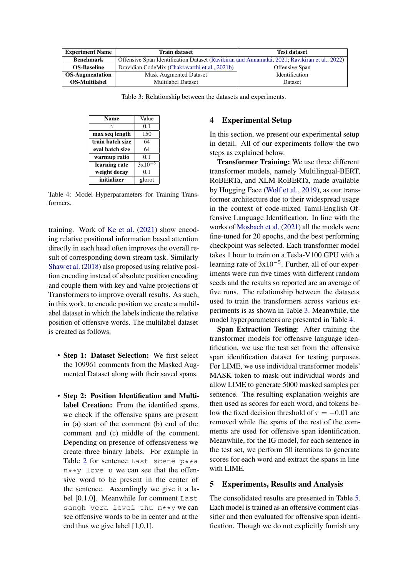<span id="page-3-2"></span>

| <b>Experiment Name</b>                                               | <b>Train dataset</b>                                                                          | <b>Test dataset</b>   |  |  |
|----------------------------------------------------------------------|-----------------------------------------------------------------------------------------------|-----------------------|--|--|
| <b>Benchmark</b>                                                     | Offensive Span Identification Dataset (Ravikiran and Annamalai, 2021; Ravikiran et al., 2022) |                       |  |  |
| <b>OS-Baseline</b><br>Dravidian CodeMix (Chakravarthi et al., 2021b) |                                                                                               | Offensive Span        |  |  |
| <b>OS-Augmentation</b><br><b>Mask Augmented Dataset</b>              |                                                                                               | <b>Identification</b> |  |  |
| <b>OS-Multilabel</b>                                                 | Multilabel Dataset                                                                            | Dataset               |  |  |

Table 3: Relationship between the datasets and experiments.

<span id="page-3-3"></span>

| <b>Name</b>      | Value      |
|------------------|------------|
|                  | 0.1        |
| max seq length   | 150        |
| train batch size | 64         |
| eval batch size  | 64         |
| warmup ratio     | 0.1        |
| learning rate    | -5<br>3x10 |
| weight decay     | 0.1        |
| initializer      | glorot     |

Table 4: Model Hyperparameters for Training Transformers.

training. Work of [Ke et al.](#page-6-10) [\(2021\)](#page-6-10) show encoding relative positional information based attention directly in each head often improves the overall result of corresponding down stream task. Similarly [Shaw et al.](#page-7-6) [\(2018\)](#page-7-6) also proposed using relative position encoding instead of absolute position encoding and couple them with key and value projections of Transformers to improve overall results. As such, in this work, to encode position we create a multilabel dataset in which the labels indicate the relative position of offensive words. The multilabel dataset is created as follows.

- Step 1: Dataset Selection: We first select the 109961 comments from the Masked Augmented Dataset along with their saved spans.
- Step 2: Position Identification and Multilabel Creation: From the identified spans, we check if the offensive spans are present in (a) start of the comment (b) end of the comment and (c) middle of the comment. Depending on presence of offensiveness we create three binary labels. For example in Table [2](#page-2-1) for sentence Last scene p\*\*a  $n***$  love u we can see that the offensive word to be present in the center of the sentence. Accordingly we give it a label [0,1,0]. Meanwhile for comment Last sangh vera level thu n\*\*y we can see offensive words to be in center and at the end thus we give label [1,0,1].

# <span id="page-3-0"></span>4 Experimental Setup

In this section, we present our experimental setup in detail. All of our experiments follow the two steps as explained below.

Transformer Training: We use three different transformer models, namely Multilingual-BERT, RoBERTa, and XLM-RoBERTa, made available by Hugging Face [\(Wolf et al.,](#page-7-7) [2019\)](#page-7-7), as our transformer architecture due to their widespread usage in the context of code-mixed Tamil-English Offensive Language Identification. In line with the works of [Mosbach et al.](#page-6-11) [\(2021\)](#page-6-11) all the models were fine-tuned for 20 epochs, and the best performing checkpoint was selected. Each transformer model takes 1 hour to train on a Tesla-V100 GPU with a learning rate of  $3x10^{-5}$ . Further, all of our experiments were run five times with different random seeds and the results so reported are an average of five runs. The relationship between the datasets used to train the transformers across various experiments is as shown in Table [3.](#page-3-2) Meanwhile, the model hyperparameters are presented in Table [4.](#page-3-3)

Span Extraction Testing: After training the transformer models for offensive language identification, we use the test set from the offensive span identification dataset for testing purposes. For LIME, we use individual transformer models' MASK token to mask out individual words and allow LIME to generate 5000 masked samples per sentence. The resulting explanation weights are then used as scores for each word, and tokens below the fixed decision threshold of  $\tau = -0.01$  are removed while the spans of the rest of the comments are used for offensive span identification. Meanwhile, for the IG model, for each sentence in the test set, we perform 50 iterations to generate scores for each word and extract the spans in line with LIME.

# <span id="page-3-1"></span>5 Experiments, Results and Analysis

The consolidated results are presented in Table [5.](#page-4-0) Each model is trained as an offensive comment classifier and then evaluated for offensive span identification. Though we do not explicitly furnish any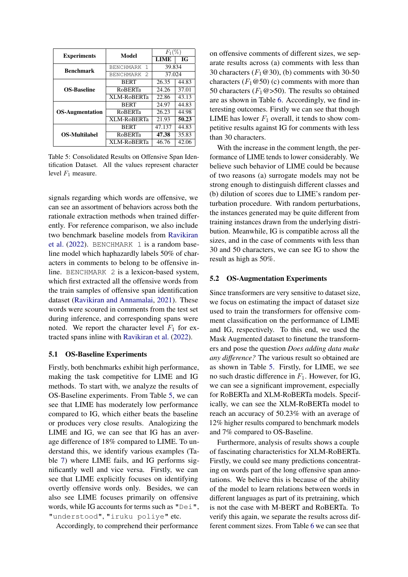<span id="page-4-0"></span>

| <b>Experiments</b>     | Model                 | $F_1(\%$ |       |  |
|------------------------|-----------------------|----------|-------|--|
|                        |                       | LIME     | IG    |  |
| <b>Benchmark</b>       | <b>BENCHMARK</b><br>1 | 39.834   |       |  |
|                        | <b>BENCHMARK</b><br>2 | 37.024   |       |  |
| <b>OS-Baseline</b>     | <b>BERT</b>           | 26.35    | 44.83 |  |
|                        | <b>RoBERTa</b>        | 24.26    | 37.01 |  |
|                        | XLM-RoBERTa           | 22.86    | 43.13 |  |
| <b>OS-Augmentation</b> | <b>BERT</b>           | 24.97    | 44.83 |  |
|                        | <b>RoBERTa</b>        | 26.23    | 44.98 |  |
|                        | XLM-RoBERTa           | 21.93    | 50.23 |  |
| <b>OS-Multilabel</b>   | <b>BERT</b>           | 47.137   | 44.83 |  |
|                        | <b>RoBERTa</b>        | 47.38    | 35.83 |  |
|                        | XLM-RoBERTa           | 46.76    | 42.06 |  |

Table 5: Consolidated Results on Offensive Span Identification Dataset. All the values represent character level  $F_1$  measure.

signals regarding which words are offensive, we can see an assortment of behaviors across both the rationale extraction methods when trained differently. For reference comparison, we also include two benchmark baseline models from [Ravikiran](#page-6-9) [et al.](#page-6-9) [\(2022\)](#page-6-9). BENCHMARK 1 is a random baseline model which haphazardly labels 50% of characters in comments to belong to be offensive inline. BENCHMARK 2 is a lexicon-based system, which first extracted all the offensive words from the train samples of offensive span identification dataset [\(Ravikiran and Annamalai,](#page-6-7) [2021\)](#page-6-7). These words were scoured in comments from the test set during inference, and corresponding spans were noted. We report the character level  $F_1$  for extracted spans inline with [Ravikiran et al.](#page-6-9) [\(2022\)](#page-6-9).

### 5.1 OS-Baseline Experiments

Firstly, both benchmarks exhibit high performance, making the task competitive for LIME and IG methods. To start with, we analyze the results of OS-Baseline experiments. From Table [5,](#page-4-0) we can see that LIME has moderately low performance compared to IG, which either beats the baseline or produces very close results. Analogizing the LIME and IG, we can see that IG has an average difference of 18% compared to LIME. To understand this, we identify various examples (Table [7\)](#page-5-1) where LIME fails, and IG performs significantly well and vice versa. Firstly, we can see that LIME explicitly focuses on identifying overtly offensive words only. Besides, we can also see LIME focuses primarily on offensive words, while IG accounts for terms such as "Dei", "understood", "iruku poliye" etc.

Accordingly, to comprehend their performance

on offensive comments of different sizes, we separate results across (a) comments with less than 30 characters  $(F_1@30)$ , (b) comments with 30-50 characters  $(F_1@50)$  (c) comments with more than 50 characters ( $F_1@>50$ ). The results so obtained are as shown in Table [6.](#page-5-2) Accordingly, we find interesting outcomes. Firstly we can see that though LIME has lower  $F_1$  overall, it tends to show competitive results against IG for comments with less than 30 characters.

With the increase in the comment length, the performance of LIME tends to lower considerably. We believe such behavior of LIME could be because of two reasons (a) surrogate models may not be strong enough to distinguish different classes and (b) dilution of scores due to LIME's random perturbation procedure. With random perturbations, the instances generated may be quite different from training instances drawn from the underlying distribution. Meanwhile, IG is compatible across all the sizes, and in the case of comments with less than 30 and 50 characters, we can see IG to show the result as high as 50%.

#### 5.2 OS-Augmentation Experiments

Since transformers are very sensitive to dataset size, we focus on estimating the impact of dataset size used to train the transformers for offensive comment classification on the performance of LIME and IG, respectively. To this end, we used the Mask Augmented dataset to finetune the transformers and pose the question *Does adding data make any difference?* The various result so obtained are as shown in Table [5.](#page-4-0) Firstly, for LIME, we see no such drastic difference in  $F_1$ . However, for IG, we can see a significant improvement, especially for RoBERTa and XLM-RoBERTa models. Specifically, we can see the XLM-RoBERTa model to reach an accuracy of 50.23% with an average of 12% higher results compared to benchmark models and 7% compared to OS-Baseline.

Furthermore, analysis of results shows a couple of fascinating characteristics for XLM-RoBERTa. Firstly, we could see many predictions concentrating on words part of the long offensive span annotations. We believe this is because of the ability of the model to learn relations between words in different languages as part of its pretraining, which is not the case with M-BERT and RoBERTa. To verify this again, we separate the results across different comment sizes. From Table [6](#page-5-2) we can see that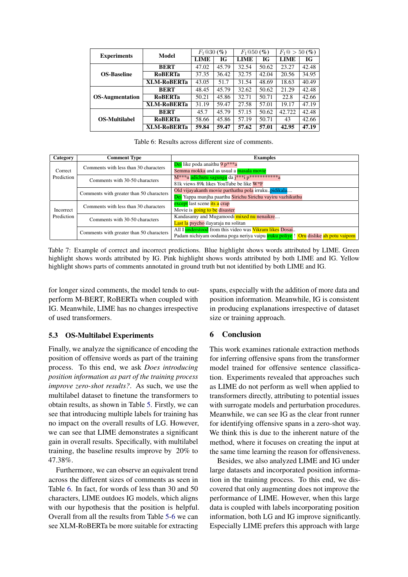<span id="page-5-2"></span>

| <b>Experiments</b>     | Model              | $F_1@30(%)$ |       | $F_1@50(%)$ |       | $F_1@>50(%$ |       |
|------------------------|--------------------|-------------|-------|-------------|-------|-------------|-------|
|                        |                    | LIME        | IG    | <b>LIME</b> | IG    | <b>LIME</b> | IG    |
| <b>OS-Baseline</b>     | <b>BERT</b>        | 47.02       | 45.79 | 32.54       | 50.62 | 23.27       | 42.48 |
|                        | <b>RoBERTa</b>     | 37.35       | 36.42 | 32.75       | 42.04 | 20.56       | 34.95 |
|                        | <b>XLM-RoBERTa</b> | 43.05       | 51.7  | 31.54       | 48.69 | 18.63       | 40.49 |
| <b>OS-Augmentation</b> | <b>BERT</b>        | 48.45       | 45.79 | 32.62       | 50.62 | 21.29       | 42.48 |
|                        | <b>RoBERTa</b>     | 50.21       | 45.86 | 32.71       | 50.71 | 22.8        | 42.66 |
|                        | <b>XLM-RoBERTa</b> | 31.19       | 59.47 | 27.58       | 57.01 | 19.17       | 47.19 |
| <b>OS-Multilabel</b>   | <b>BERT</b>        | 45.7        | 45.79 | 57.15       | 50.62 | 42.722      | 42.48 |
|                        | <b>RoBERTa</b>     | 58.66       | 45.86 | 57.19       | 50.71 | 43          | 42.66 |
|                        | <b>XLM-RoBERTa</b> | 59.84       | 59.47 | 57.62       | 57.01 | 42.95       | 47.19 |

Table 6: Results across different size of comments.

<span id="page-5-1"></span>

| Category              | <b>Comment Type</b>                                                     | <b>Examples</b>                                                                         |
|-----------------------|-------------------------------------------------------------------------|-----------------------------------------------------------------------------------------|
| Correct<br>Prediction | Comments with less than 30 characters                                   | Dei like poda anaithu 9 $p^{***}a$                                                      |
|                       |                                                                         | Semma mokka and as usual a masala movie                                                 |
|                       | Comments with 30-50 characters                                          | M <sup>***</sup> u adichutu sagunga da j***i p***********a                              |
|                       |                                                                         | 81k views 89k likes YouTube be like W*F                                                 |
|                       | Comments with greater than 50 characters                                | Old vijayakanth movie parthathu pola irruku.pidikala                                    |
|                       |                                                                         | Dei Yappa munjha paarthu Sirichu Sirichu vayiru vazhikuthu                              |
|                       | Comments with less than 30 characters<br>Comments with 30-50 characters | except last scene its a crap                                                            |
| Incorrect             |                                                                         | Movie is <b>going to be</b> disaster                                                    |
| Prediction            |                                                                         | Kandasamy and Mugamoodi mixed nu nenaikre                                               |
|                       |                                                                         | Last la psycho ilayaraja nu solitan                                                     |
|                       | Comments with greater than 50 characters                                | All I understood from this video was Vikram likes Dosai                                 |
|                       |                                                                         | Padam nichiyam oodama poga neriya vaipu <b>iruku poliye!</b> Oru dislike ah potu vaipom |

Table 7: Example of correct and incorrect predictions. Blue highlight shows words attributed by LIME. Green highlight shows words attributed by IG. Pink highlight shows words attributed by both LIME and IG. Yellow highlight shows parts of comments annotated in ground truth but not identified by both LIME and IG.

for longer sized comments, the model tends to outperform M-BERT, RoBERTa when coupled with IG. Meanwhile, LIME has no changes irrespective of used transformers.

### 5.3 OS-Multilabel Experiments

Finally, we analyze the significance of encoding the position of offensive words as part of the training process. To this end, we ask *Does introducing position information as part of the training process improve zero-shot results?*. As such, we use the multilabel dataset to finetune the transformers to obtain results, as shown in Table [5.](#page-4-0) Firstly, we can see that introducing multiple labels for training has no impact on the overall results of LG. However, we can see that LIME demonstrates a significant gain in overall results. Specifically, with multilabel training, the baseline results improve by 20% to 47.38%.

Furthermore, we can observe an equivalent trend across the different sizes of comments as seen in Table [6.](#page-5-2) In fact, for words of less than 30 and 50 characters, LIME outdoes IG models, which aligns with our hypothesis that the position is helpful. Overall from all the results from Table [5](#page-4-0)[-6](#page-5-2) we can see XLM-RoBERTa be more suitable for extracting

spans, especially with the addition of more data and position information. Meanwhile, IG is consistent in producing explanations irrespective of dataset size or training approach.

### <span id="page-5-0"></span>6 Conclusion

This work examines rationale extraction methods for inferring offensive spans from the transformer model trained for offensive sentence classification. Experiments revealed that approaches such as LIME do not perform as well when applied to transformers directly, attributing to potential issues with surrogate models and perturbation procedures. Meanwhile, we can see IG as the clear front runner for identifying offensive spans in a zero-shot way. We think this is due to the inherent nature of the method, where it focuses on creating the input at the same time learning the reason for offensiveness.

Besides, we also analyzed LIME and IG under large datasets and incorporated position information in the training process. To this end, we discovered that only augmenting does not improve the performance of LIME. However, when this large data is coupled with labels incorporating position information, both LG and IG improve significantly. Especially LIME prefers this approach with large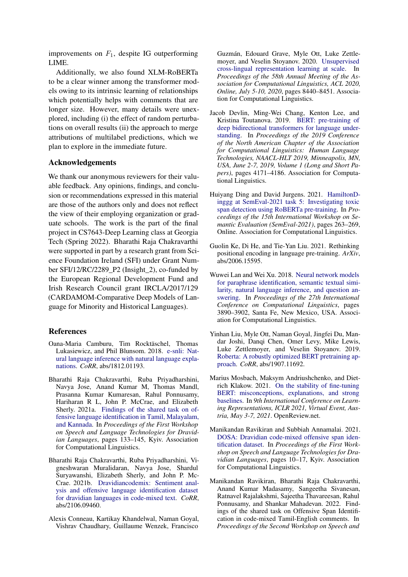improvements on  $F_1$ , despite IG outperforming LIME.

Additionally, we also found XLM-RoBERTa to be a clear winner among the transformer models owing to its intrinsic learning of relationships which potentially helps with comments that are longer size. However, many details were unexplored, including (i) the effect of random perturbations on overall results (ii) the approach to merge attributions of multilabel predictions, which we plan to explore in the immediate future.

# Acknowledgements

We thank our anonymous reviewers for their valuable feedback. Any opinions, findings, and conclusion or recommendations expressed in this material are those of the authors only and does not reflect the view of their employing organization or graduate schools. The work is the part of the final project in CS7643-Deep Learning class at Georgia Tech (Spring 2022). Bharathi Raja Chakravarthi were supported in part by a research grant from Science Foundation Ireland (SFI) under Grant Number SFI/12/RC/2289\_P2 (Insight\_2), co-funded by the European Regional Development Fund and Irish Research Council grant IRCLA/2017/129 (CARDAMOM-Comparative Deep Models of Language for Minority and Historical Languages).

### References

- <span id="page-6-5"></span>Oana-Maria Camburu, Tim Rocktäschel, Thomas Lukasiewicz, and Phil Blunsom. 2018. [e-snli: Nat](http://arxiv.org/abs/1812.01193)[ural language inference with natural language expla](http://arxiv.org/abs/1812.01193)[nations.](http://arxiv.org/abs/1812.01193) *CoRR*, abs/1812.01193.
- <span id="page-6-3"></span>Bharathi Raja Chakravarthi, Ruba Priyadharshini, Navya Jose, Anand Kumar M, Thomas Mandl, Prasanna Kumar Kumaresan, Rahul Ponnusamy, Hariharan R L, John P. McCrae, and Elizabeth Sherly. 2021a. [Findings of the shared task on of](https://aclanthology.org/2021.dravidianlangtech-1.17)[fensive language identification in Tamil, Malayalam,](https://aclanthology.org/2021.dravidianlangtech-1.17) [and Kannada.](https://aclanthology.org/2021.dravidianlangtech-1.17) In *Proceedings of the First Workshop on Speech and Language Technologies for Dravidian Languages*, pages 133–145, Kyiv. Association for Computational Linguistics.
- <span id="page-6-8"></span>Bharathi Raja Chakravarthi, Ruba Priyadharshini, Vigneshwaran Muralidaran, Navya Jose, Shardul Suryawanshi, Elizabeth Sherly, and John P. Mc-Crae. 2021b. [Dravidiancodemix: Sentiment anal](http://arxiv.org/abs/2106.09460)[ysis and offensive language identification dataset](http://arxiv.org/abs/2106.09460) [for dravidian languages in code-mixed text.](http://arxiv.org/abs/2106.09460) *CoRR*, abs/2106.09460.
- <span id="page-6-2"></span>Alexis Conneau, Kartikay Khandelwal, Naman Goyal, Vishrav Chaudhary, Guillaume Wenzek, Francisco

Guzmán, Edouard Grave, Myle Ott, Luke Zettlemoyer, and Veselin Stoyanov. 2020. [Unsupervised](https://doi.org/10.18653/v1/2020.acl-main.747) [cross-lingual representation learning at scale.](https://doi.org/10.18653/v1/2020.acl-main.747) In *Proceedings of the 58th Annual Meeting of the Association for Computational Linguistics, ACL 2020, Online, July 5-10, 2020*, pages 8440–8451. Association for Computational Linguistics.

- <span id="page-6-0"></span>Jacob Devlin, Ming-Wei Chang, Kenton Lee, and Kristina Toutanova. 2019. [BERT: pre-training of](https://doi.org/10.18653/v1/n19-1423) [deep bidirectional transformers for language under](https://doi.org/10.18653/v1/n19-1423)[standing.](https://doi.org/10.18653/v1/n19-1423) In *Proceedings of the 2019 Conference of the North American Chapter of the Association for Computational Linguistics: Human Language Technologies, NAACL-HLT 2019, Minneapolis, MN, USA, June 2-7, 2019, Volume 1 (Long and Short Papers)*, pages 4171–4186. Association for Computational Linguistics.
- <span id="page-6-6"></span>Huiyang Ding and David Jurgens. 2021. [HamiltonD](https://doi.org/10.18653/v1/2021.semeval-1.31)[inggg at SemEval-2021 task 5: Investigating toxic](https://doi.org/10.18653/v1/2021.semeval-1.31) [span detection using RoBERTa pre-training.](https://doi.org/10.18653/v1/2021.semeval-1.31) In *Proceedings of the 15th International Workshop on Semantic Evaluation (SemEval-2021)*, pages 263–269, Online. Association for Computational Linguistics.
- <span id="page-6-10"></span>Guolin Ke, Di He, and Tie-Yan Liu. 2021. Rethinking positional encoding in language pre-training. *ArXiv*, abs/2006.15595.
- <span id="page-6-4"></span>Wuwei Lan and Wei Xu. 2018. [Neural network models](https://aclanthology.org/C18-1328) [for paraphrase identification, semantic textual simi](https://aclanthology.org/C18-1328)[larity, natural language inference, and question an](https://aclanthology.org/C18-1328)[swering.](https://aclanthology.org/C18-1328) In *Proceedings of the 27th International Conference on Computational Linguistics*, pages 3890–3902, Santa Fe, New Mexico, USA. Association for Computational Linguistics.
- <span id="page-6-1"></span>Yinhan Liu, Myle Ott, Naman Goyal, Jingfei Du, Mandar Joshi, Danqi Chen, Omer Levy, Mike Lewis, Luke Zettlemoyer, and Veselin Stoyanov. 2019. [Roberta: A robustly optimized BERT pretraining ap](http://arxiv.org/abs/1907.11692)[proach.](http://arxiv.org/abs/1907.11692) *CoRR*, abs/1907.11692.
- <span id="page-6-11"></span>Marius Mosbach, Maksym Andriushchenko, and Dietrich Klakow. 2021. [On the stability of fine-tuning](https://openreview.net/forum?id=nzpLWnVAyah) [BERT: misconceptions, explanations, and strong](https://openreview.net/forum?id=nzpLWnVAyah) [baselines.](https://openreview.net/forum?id=nzpLWnVAyah) In *9th International Conference on Learning Representations, ICLR 2021, Virtual Event, Austria, May 3-7, 2021*. OpenReview.net.
- <span id="page-6-7"></span>Manikandan Ravikiran and Subbiah Annamalai. 2021. [DOSA: Dravidian code-mixed offensive span iden](https://aclanthology.org/2021.dravidianlangtech-1.2)[tification dataset.](https://aclanthology.org/2021.dravidianlangtech-1.2) In *Proceedings of the First Workshop on Speech and Language Technologies for Dravidian Languages*, pages 10–17, Kyiv. Association for Computational Linguistics.
- <span id="page-6-9"></span>Manikandan Ravikiran, Bharathi Raja Chakravarthi, Anand Kumar Madasamy, Sangeetha Sivanesan, Ratnavel Rajalakshmi, Sajeetha Thavareesan, Rahul Ponnusamy, and Shankar Mahadevan. 2022. Findings of the shared task on Offensive Span Identification in code-mixed Tamil-English comments. In *Proceedings of the Second Workshop on Speech and*